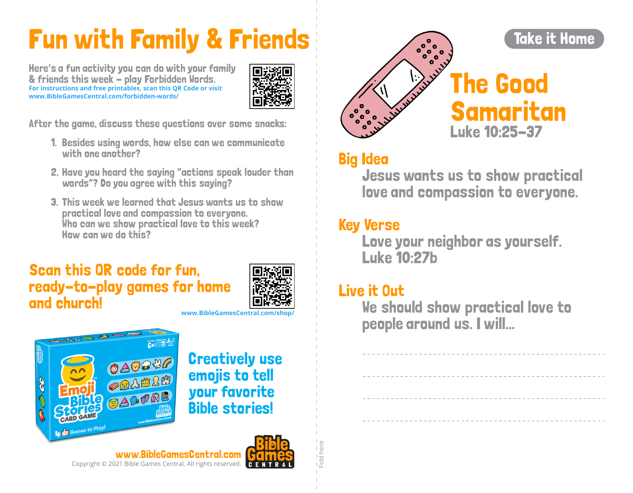# Fun with Family & Friends

Here's a fun activity you can do with your family & friends this week - play Forbidden Words. **For instructions and free printables, scan this QR Code or visit www.BibleGamesCentral.com/forbidden-words/**



After the game, discuss these questions over some snacks:

- 1. Besides using words, how else can we communicate with one another?
- 2. Have you heard the saying "actions speak louder than words"? Do you agree with this saying?
- 3. This week we learned that Jesus wants us to show practical love and compassion to everyone. Who can we show practical love to this week? How can we do this?

#### Scan this QR code for fun, ready-to-play games for home and church!



**www.BibleGamesCentral.com/shop/**



Creatively use emojis to tell your favorite Bible stories!





### Big Idea

Jesus wants us to show practical love and compassion to everyone.

#### Key Verse

Love your neighbor as yourself. Luke 10:27b

#### Live it Out

Fold here

- and here

We should show practical love to people around us. I will...